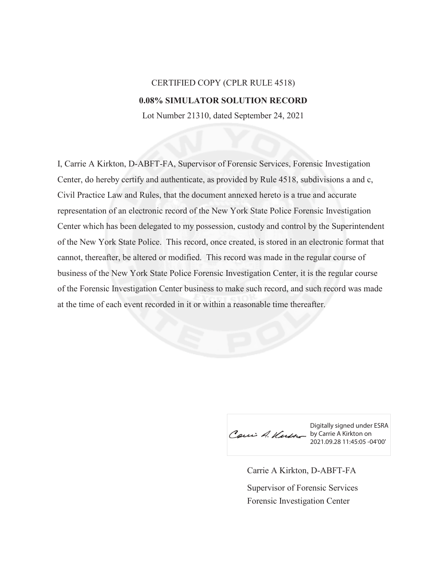## CERTIFIED COPY (CPLR RULE 4518) **0.08% SIMULATOR SOLUTION RECORD**

Lot Number 21310, dated September 24, 2021

I, Carrie A Kirkton, D-ABFT-FA, Supervisor of Forensic Services, Forensic Investigation Center, do hereby certify and authenticate, as provided by Rule 4518, subdivisions a and c, Civil Practice Law and Rules, that the document annexed hereto is a true and accurate representation of an electronic record of the New York State Police Forensic Investigation Center which has been delegated to my possession, custody and control by the Superintendent of the New York State Police. This record, once created, is stored in an electronic format that cannot, thereafter, be altered or modified. This record was made in the regular course of business of the New York State Police Forensic Investigation Center, it is the regular course of the Forensic Investigation Center business to make such record, and such record was made at the time of each event recorded in it or within a reasonable time thereafter.

Caui A. Kutte by Carrie A Kirkton on

Digitally signed under ESRA 2021.09.28 11:45:05 -04'00'

Carrie A Kirkton, D-ABFT-FA Forensic Investigation Center Supervisor of Forensic Services